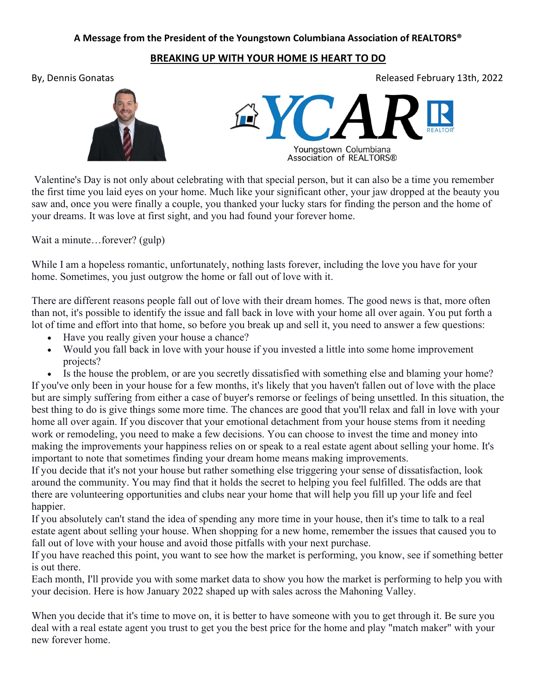## A Message from the President of the Youngstown Columbiana Association of REALTORS®

## BREAKING UP WITH YOUR HOME IS HEART TO DO

By, Dennis Gonatas Released February 13th, 2022





 Valentine's Day is not only about celebrating with that special person, but it can also be a time you remember the first time you laid eyes on your home. Much like your significant other, your jaw dropped at the beauty you saw and, once you were finally a couple, you thanked your lucky stars for finding the person and the home of your dreams. It was love at first sight, and you had found your forever home.

Wait a minute...forever? (gulp)

While I am a hopeless romantic, unfortunately, nothing lasts forever, including the love you have for your home. Sometimes, you just outgrow the home or fall out of love with it.

There are different reasons people fall out of love with their dream homes. The good news is that, more often than not, it's possible to identify the issue and fall back in love with your home all over again. You put forth a lot of time and effort into that home, so before you break up and sell it, you need to answer a few questions:

- Have you really given your house a chance?
- Would you fall back in love with your house if you invested a little into some home improvement projects?

 Is the house the problem, or are you secretly dissatisfied with something else and blaming your home? If you've only been in your house for a few months, it's likely that you haven't fallen out of love with the place but are simply suffering from either a case of buyer's remorse or feelings of being unsettled. In this situation, the best thing to do is give things some more time. The chances are good that you'll relax and fall in love with your home all over again. If you discover that your emotional detachment from your house stems from it needing work or remodeling, you need to make a few decisions. You can choose to invest the time and money into making the improvements your happiness relies on or speak to a real estate agent about selling your home. It's important to note that sometimes finding your dream home means making improvements.

If you decide that it's not your house but rather something else triggering your sense of dissatisfaction, look around the community. You may find that it holds the secret to helping you feel fulfilled. The odds are that there are volunteering opportunities and clubs near your home that will help you fill up your life and feel happier.

If you absolutely can't stand the idea of spending any more time in your house, then it's time to talk to a real estate agent about selling your house. When shopping for a new home, remember the issues that caused you to fall out of love with your house and avoid those pitfalls with your next purchase.

If you have reached this point, you want to see how the market is performing, you know, see if something better is out there.

Each month, I'll provide you with some market data to show you how the market is performing to help you with your decision. Here is how January 2022 shaped up with sales across the Mahoning Valley.

When you decide that it's time to move on, it is better to have someone with you to get through it. Be sure you deal with a real estate agent you trust to get you the best price for the home and play "match maker" with your new forever home.